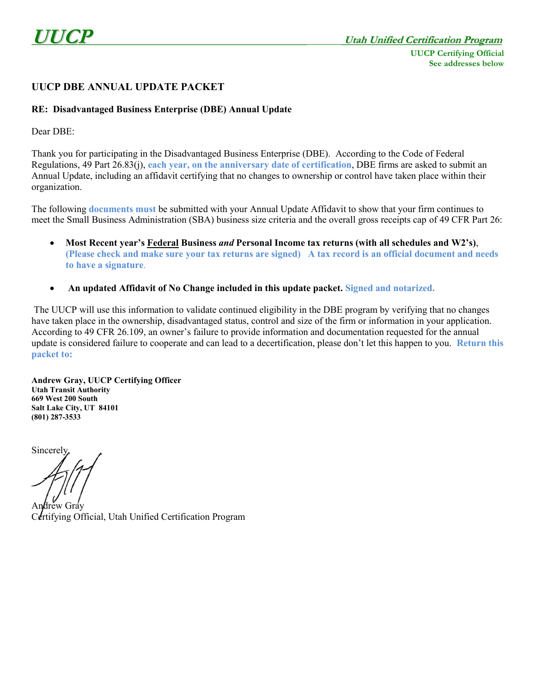## **UUCP DBE ANNUAL UPDATE PACKET**

## **RE: Disadvantaged Business Enterprise (DBE) Annual Update**

Dear DBE:

Thank you for participating in the Disadvantaged Business Enterprise (DBE). According to the Code of Federal Regulations, 49 Part 26.83(j), **each year, on the anniversary date of certification**, DBE firms are asked to submit an Annual Update, including an affidavit certifying that no changes to ownership or control have taken place within their organization.

The following **documents must** be submitted with your Annual Update Affidavit to show that your firm continues to meet the Small Business Administration (SBA) business size criteria and the overall gross receipts cap of 49 CFR Part 26:

- **Most Recent year's Federal Business** *and* **Personal Income tax returns (with all schedules and W2's)**, **(Please check and make sure your tax returns are signed) A tax record is an official document and needs to have a signature**.
- **An updated Affidavit of No Change included in this update packet. Signed and notarized.**

The UUCP will use this information to validate continued eligibility in the DBE program by verifying that no changes have taken place in the ownership, disadvantaged status, control and size of the firm or information in your application. According to 49 CFR 26.109, an owner's failure to provide information and documentation requested for the annual update is considered failure to cooperate and can lead to a decertification, please don't let this happen to you. **Return this packet to:**

**Andrew Gray, UUCP Certifying Officer Utah Transit Authority 669 West 200 South Salt Lake City, UT 84101 (801) 287-3533**

**Sincerely** 

lrėw Gráv Certifying Official, Utah Unified Certification Program